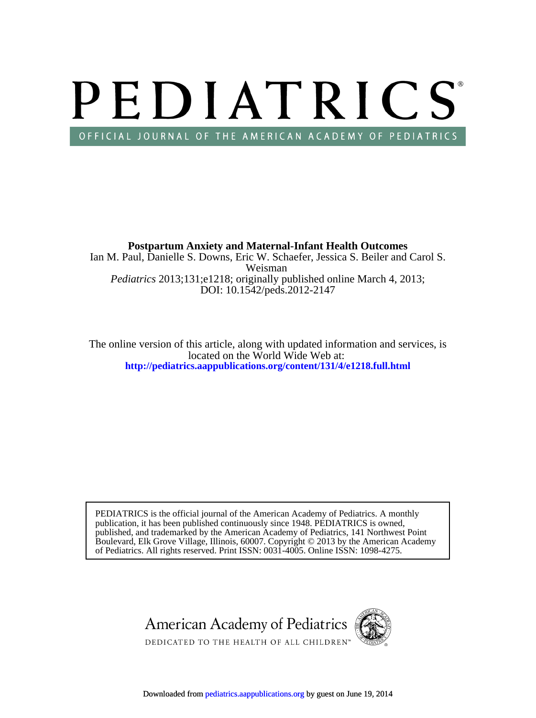# PEDIATRICS OFFICIAL JOURNAL OF THE AMERICAN ACADEMY OF PEDIATRICS

DOI: 10.1542/peds.2012-2147 *Pediatrics* 2013;131;e1218; originally published online March 4, 2013; Weisman Ian M. Paul, Danielle S. Downs, Eric W. Schaefer, Jessica S. Beiler and Carol S. **Postpartum Anxiety and Maternal-Infant Health Outcomes**

**<http://pediatrics.aappublications.org/content/131/4/e1218.full.html>** located on the World Wide Web at: The online version of this article, along with updated information and services, is

of Pediatrics. All rights reserved. Print ISSN: 0031-4005. Online ISSN: 1098-4275. Boulevard, Elk Grove Village, Illinois, 60007. Copyright © 2013 by the American Academy published, and trademarked by the American Academy of Pediatrics, 141 Northwest Point publication, it has been published continuously since 1948. PEDIATRICS is owned, PEDIATRICS is the official journal of the American Academy of Pediatrics. A monthly

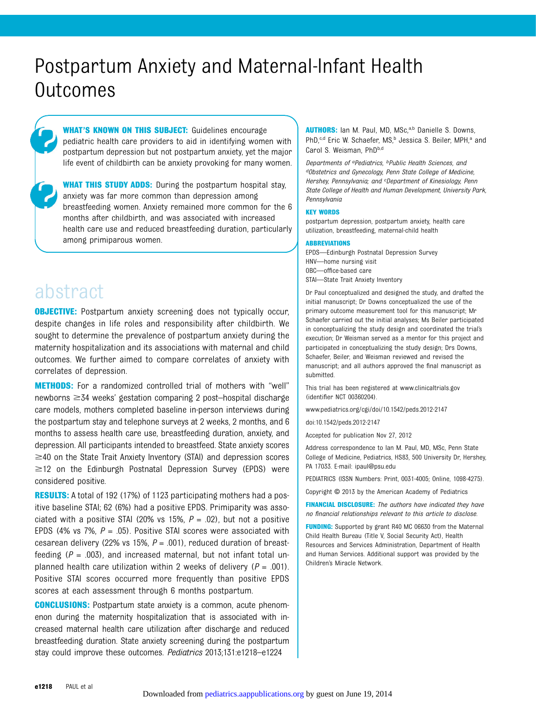# Postpartum Anxiety and Maternal-Infant Health Outcomes

WHAT'S KNOWN ON THIS SUBJECT: Guidelines encourage pediatric health care providers to aid in identifying women with postpartum depression but not postpartum anxiety, yet the major life event of childbirth can be anxiety provoking for many women.

**WHAT THIS STUDY ADDS:** During the postpartum hospital stay, anxiety was far more common than depression among breastfeeding women. Anxiety remained more common for the 6 months after childbirth, and was associated with increased health care use and reduced breastfeeding duration, particularly among primiparous women.

# abstract

**OBJECTIVE:** Postpartum anxiety screening does not typically occur, despite changes in life roles and responsibility after childbirth. We sought to determine the prevalence of postpartum anxiety during the maternity hospitalization and its associations with maternal and child outcomes. We further aimed to compare correlates of anxiety with correlates of depression.

METHODS: For a randomized controlled trial of mothers with "well" newborns  $\geq$  34 weeks' gestation comparing 2 post–hospital discharge care models, mothers completed baseline in-person interviews during the postpartum stay and telephone surveys at 2 weeks, 2 months, and 6 months to assess health care use, breastfeeding duration, anxiety, and depression. All participants intended to breastfeed. State anxiety scores  $\geq$ 40 on the State Trait Anxiety Inventory (STAI) and depression scores  $\geq$  12 on the Edinburgh Postnatal Depression Survey (EPDS) were considered positive.

RESULTS: A total of 192 (17%) of 1123 participating mothers had a positive baseline STAI; 62 (6%) had a positive EPDS. Primiparity was associated with a positive STAI (20% vs 15%,  $P = .02$ ), but not a positive EPDS (4% vs 7%,  $P = .05$ ). Positive STAI scores were associated with cesarean delivery (22% vs 15%,  $P = .001$ ), reduced duration of breastfeeding ( $P = .003$ ), and increased maternal, but not infant total unplanned health care utilization within 2 weeks of delivery ( $P = .001$ ). Positive STAI scores occurred more frequently than positive EPDS scores at each assessment through 6 months postpartum.

CONCLUSIONS: Postpartum state anxiety is a common, acute phenomenon during the maternity hospitalization that is associated with increased maternal health care utilization after discharge and reduced breastfeeding duration. State anxiety screening during the postpartum stay could improve these outcomes. Pediatrics 2013;131:e1218–e1224

AUTHORS: Ian M. Paul, MD, MSc,<sup>a,b</sup> Danielle S. Downs, PhD,<sup>c,d</sup> Eric W. Schaefer, MS,<sup>b</sup> Jessica S. Beiler, MPH,<sup>a</sup> and Carol S. Weisman, PhDb,d

Departments of <sup>a</sup>Pediatrics, <sup>b</sup>Public Health Sciences, and dObstetrics and Gynecology, Penn State College of Medicine, Hershey, Pennsylvania; and <sup>c</sup>Department of Kinesiology, Penn State College of Health and Human Development, University Park, Pennsylvania

#### KEY WORDS

postpartum depression, postpartum anxiety, health care utilization, breastfeeding, maternal-child health

#### ABBREVIATIONS

EPDS—Edinburgh Postnatal Depression Survey HNV—home nursing visit OBC—office-based care STAI—State Trait Anxiety Inventory

Dr Paul conceptualized and designed the study, and drafted the initial manuscript; Dr Downs conceptualized the use of the primary outcome measurement tool for this manuscript; Mr Schaefer carried out the initial analyses; Ms Beiler participated in conceptualizing the study design and coordinated the trial's execution; Dr Weisman served as a mentor for this project and participated in conceptualizing the study design; Drs Downs, Schaefer, Beiler, and Weisman reviewed and revised the manuscript; and all authors approved the final manuscript as submitted.

This trial has been registered at [www.clinicaltrials.gov](http://www.clinicaltrials.gov) (identifier NCT 00360204).

www.pediatrics.org/cgi/doi/10.1542/peds.2012-2147

doi:10.1542/peds.2012-2147

Accepted for publication Nov 27, 2012

Address correspondence to Ian M. Paul, MD, MSc, Penn State College of Medicine, Pediatrics, HS83, 500 University Dr, Hershey, PA 17033. E-mail: [ipaul@psu.edu](mailto:ipaul@psu.edu)

PEDIATRICS (ISSN Numbers: Print, 0031-4005; Online, 1098-4275).

Copyright © 2013 by the American Academy of Pediatrics

FINANCIAL DISCLOSURE: The authors have indicated they have no financial relationships relevant to this article to disclose.

FUNDING: Supported by grant R40 MC 06630 from the Maternal Child Health Bureau (Title V, Social Security Act), Health Resources and Services Administration, Department of Health and Human Services. Additional support was provided by the Children's Miracle Network.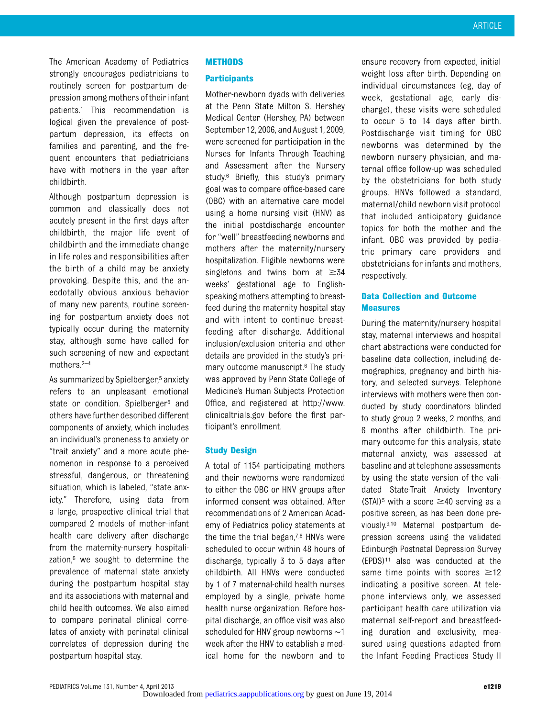The American Academy of Pediatrics strongly encourages pediatricians to routinely screen for postpartum depression among mothers of their infant patients.1 This recommendation is logical given the prevalence of postpartum depression, its effects on families and parenting, and the frequent encounters that pediatricians have with mothers in the year after childbirth.

Although postpartum depression is common and classically does not acutely present in the first days after childbirth, the major life event of childbirth and the immediate change in life roles and responsibilities after the birth of a child may be anxiety provoking. Despite this, and the anecdotally obvious anxious behavior of many new parents, routine screening for postpartum anxiety does not typically occur during the maternity stay, although some have called for such screening of new and expectant mothers.2–<sup>4</sup>

As summarized by Spielberger,<sup>5</sup> anxiety refers to an unpleasant emotional state or condition. Spielberger<sup>5</sup> and others have further described different components of anxiety, which includes an individual's proneness to anxiety or "trait anxiety" and a more acute phenomenon in response to a perceived stressful, dangerous, or threatening situation, which is labeled, "state anxiety." Therefore, using data from a large, prospective clinical trial that compared 2 models of mother-infant health care delivery after discharge from the maternity-nursery hospitalization,<sup>6</sup> we sought to determine the prevalence of maternal state anxiety during the postpartum hospital stay and its associations with maternal and child health outcomes. We also aimed to compare perinatal clinical correlates of anxiety with perinatal clinical correlates of depression during the postpartum hospital stay.

### METHODS

#### **Participants**

Mother-newborn dyads with deliveries at the Penn State Milton S. Hershey Medical Center (Hershey, PA) between September 12, 2006, and August 1, 2009, were screened for participation in the Nurses for Infants Through Teaching and Assessment after the Nursery study.6 Briefly, this study's primary goal was to compare office-based care (OBC) with an alternative care model using a home nursing visit (HNV) as the initial postdischarge encounter for "well" breastfeeding newborns and mothers after the maternity/nursery hospitalization. Eligible newborns were singletons and twins born at  $\geq 34$ weeks' gestational age to Englishspeaking mothers attempting to breastfeed during the maternity hospital stay and with intent to continue breastfeeding after discharge. Additional inclusion/exclusion criteria and other details are provided in the study's primary outcome manuscript.6 The study was approved by Penn State College of Medicine's Human Subjects Protection Office, and registered at [http://www.](http://www.clinicaltrials.gov) [clinicaltrials.gov](http://www.clinicaltrials.gov) before the first participant's enrollment.

#### Study Design

A total of 1154 participating mothers and their newborns were randomized to either the OBC or HNV groups after informed consent was obtained. After recommendations of 2 American Academy of Pediatrics policy statements at the time the trial began, $7,8$  HNVs were scheduled to occur within 48 hours of discharge, typically 3 to 5 days after childbirth. All HNVs were conducted by 1 of 7 maternal-child health nurses employed by a single, private home health nurse organization. Before hospital discharge, an office visit was also scheduled for HNV group newborns ∼1 week after the HNV to establish a medical home for the newborn and to

ensure recovery from expected, initial weight loss after birth. Depending on individual circumstances (eg, day of week, gestational age, early discharge), these visits were scheduled to occur 5 to 14 days after birth. Postdischarge visit timing for OBC newborns was determined by the newborn nursery physician, and maternal office follow-up was scheduled by the obstetricians for both study groups. HNVs followed a standard, maternal/child newborn visit protocol that included anticipatory guidance topics for both the mother and the infant. OBC was provided by pediatric primary care providers and obstetricians for infants and mothers, respectively.

# Data Collection and Outcome **Measures**

During the maternity/nursery hospital stay, maternal interviews and hospital chart abstractions were conducted for baseline data collection, including demographics, pregnancy and birth history, and selected surveys. Telephone interviews with mothers were then conducted by study coordinators blinded to study group 2 weeks, 2 months, and 6 months after childbirth. The primary outcome for this analysis, state maternal anxiety, was assessed at baseline and at telephone assessments by using the state version of the validated State-Trait Anxiety Inventory (STAI)<sup>5</sup> with a score  $\geq$ 40 serving as a positive screen, as has been done previously.9,10 Maternal postpartum depression screens using the validated Edinburgh Postnatal Depression Survey (EPDS)11 also was conducted at the same time points with scores  $\geq 12$ indicating a positive screen. At telephone interviews only, we assessed participant health care utilization via maternal self-report and breastfeeding duration and exclusivity, measured using questions adapted from the Infant Feeding Practices Study II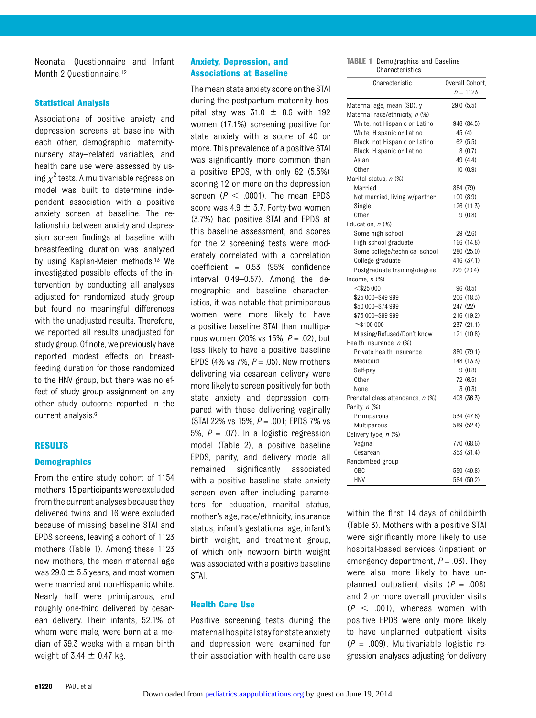Neonatal Questionnaire and Infant Month 2 Questionnaire.<sup>12</sup>

#### Statistical Analysis

Associations of positive anxiety and depression screens at baseline with each other, demographic, maternitynursery stay–related variables, and health care use were assessed by using  $\chi^2$  tests. A multivariable regression model was built to determine independent association with a positive anxiety screen at baseline. The relationship between anxiety and depression screen findings at baseline with breastfeeding duration was analyzed by using Kaplan-Meier methods.13 We investigated possible effects of the intervention by conducting all analyses adjusted for randomized study group but found no meaningful differences with the unadjusted results. Therefore, we reported all results unadjusted for study group. Of note, we previously have reported modest effects on breastfeeding duration for those randomized to the HNV group, but there was no effect of study group assignment on any other study outcome reported in the current analysis.6

### RESULTS

#### **Demographics**

From the entire study cohort of 1154 mothers, 15 participantswere excluded from the current analyses because they delivered twins and 16 were excluded because of missing baseline STAI and EPDS screens, leaving a cohort of 1123 mothers (Table 1). Among these 1123 new mothers, the mean maternal age was 29.0  $\pm$  5.5 years, and most women were married and non-Hispanic white. Nearly half were primiparous, and roughly one-third delivered by cesarean delivery. Their infants, 52.1% of whom were male, were born at a median of 39.3 weeks with a mean birth weight of 3.44  $\pm$  0.47 kg.

# Anxiety, Depression, and Associations at Baseline

The mean state anxiety score onthe STAI during the postpartum maternity hospital stay was  $31.0 \pm 8.6$  with 192 women (17.1%) screening positive for state anxiety with a score of 40 or more. This prevalence of a positive STAI was significantly more common than a positive EPDS, with only 62 (5.5%) scoring 12 or more on the depression screen ( $P < .0001$ ). The mean EPDS score was  $4.9 \pm 3.7$ . Forty-two women (3.7%) had positive STAI and EPDS at this baseline assessment, and scores for the 2 screening tests were moderately correlated with a correlation coefficient = 0.53 (95% confidence interval 0.49–0.57). Among the demographic and baseline characteristics, it was notable that primiparous women were more likely to have a positive baseline STAI than multiparous women (20% vs 15%,  $P = .02$ ), but less likely to have a positive baseline EPDS (4% vs 7%,  $P = .05$ ). New mothers delivering via cesarean delivery were more likely to screen positively for both state anxiety and depression compared with those delivering vaginally (STAI 22% vs 15%,  $P = .001$ ; EPDS 7% vs 5%,  $P = .07$ ). In a logistic regression model (Table 2), a positive baseline EPDS, parity, and delivery mode all remained significantly associated with a positive baseline state anxiety screen even after including parameters for education, marital status, mother's age, race/ethnicity, insurance status, infant's gestational age, infant's birth weight, and treatment group, of which only newborn birth weight was associated with a positive baseline STAI.

#### Health Care Use

Positive screening tests during the maternal hospital stayfor state anxiety and depression were examined for their association with health care use TABLE 1 Demographics and Baseline **Characteristics** 

| νιιαι ανισι ιδιινδ               |                 |
|----------------------------------|-----------------|
| Characteristic                   | Overall Cohort, |
|                                  | $n = 1123$      |
| Maternal age, mean (SD), y       | 29.0(5.5)       |
| Maternal race/ethnicity, n (%)   |                 |
| White, not Hispanic or Latino    | 946 (84.5)      |
| White, Hispanic or Latino        | 45 (4)          |
| Black, not Hispanic or Latino    | 62(5.5)         |
| Black, Hispanic or Latino        | 8(0.7)          |
| Asian                            | 49 (4.4)        |
| 0ther                            | 10(0.9)         |
| Marital status, n (%)            |                 |
| Married                          | 884 (79)        |
| Not married, living w/partner    | 100(8.9)        |
| Single                           | 126 (11.3)      |
| Other                            | 9(0.8)          |
| Education, n (%)                 |                 |
| Some high school                 | 29 (2.6)        |
| High school graduate             | 166 (14.8)      |
| Some college/technical school    | 280 (25.0)      |
| College graduate                 | 416 (37.1)      |
| Postgraduate training/degree     | 229 (20.4)      |
| Income, $n$ $(\%)$               |                 |
| $<$ \$25 000                     | 96 (8.5)        |
| \$25 000-\$49 999                | 206 (18.3)      |
| \$50 000-\$74 999                | 247 (22)        |
| \$75 000-\$99 999                | 216 (19.2)      |
| $\geq$ \$100 000                 | 237 (21.1)      |
| Missing/Refused/Don't know       | 121 (10.8)      |
| Health insurance, n (%)          |                 |
| Private health insurance         | 880 (79.1)      |
| Medicaid                         | 148 (13.3)      |
| Self-pay                         | 9(0.8)          |
| Other                            | 72 (6.5)        |
| None                             | 3(0.3)          |
| Prenatal class attendance, n (%) | 408 (36.3)      |
| Parity, n (%)                    |                 |
| Primiparous                      | 534 (47.6)      |
| Multiparous                      | 589 (52.4)      |
| Delivery type, n (%)             |                 |
| Vaginal                          | 770 (68.6)      |
| Cesarean                         | 353 (31.4)      |
| Randomized group                 |                 |
| 0BC                              | 559 (49.8)      |
| <b>HNV</b>                       | 564 (50.2)      |

within the first 14 days of childbirth (Table 3). Mothers with a positive STAI were significantly more likely to use hospital-based services (inpatient or emergency department,  $P = .03$ ). They were also more likely to have unplanned outpatient visits  $(P = .008)$ and 2 or more overall provider visits  $(P < .001)$ , whereas women with positive EPDS were only more likely to have unplanned outpatient visits  $(P = .009)$ . Multivariable logistic regression analyses adjusting for delivery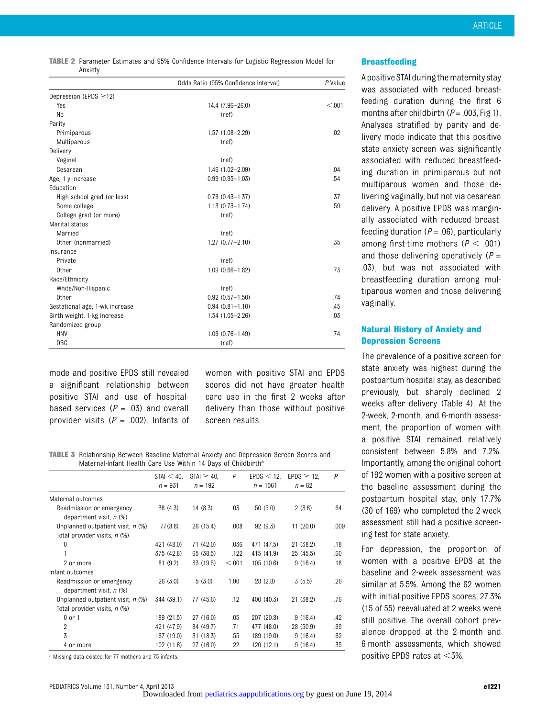|         |  |  |  | <b>TABLE 2</b> Parameter Estimates and 95% Confidence Intervals for Logistic Regression Model for |  |
|---------|--|--|--|---------------------------------------------------------------------------------------------------|--|
| Anxiety |  |  |  |                                                                                                   |  |

|                                | Odds Ratio (95% Confidence Interval) | P Value |
|--------------------------------|--------------------------------------|---------|
| Depression (EPDS $\geq$ 12)    |                                      |         |
| Yes                            | 14.4 (7.96-26.0)                     | < 0.01  |
| N <sub>0</sub>                 | (ref)                                |         |
| Parity                         |                                      |         |
| Primiparous                    | 1.57 (1.08-2.29)                     | .02     |
| Multiparous                    | (ref)                                |         |
| Delivery                       |                                      |         |
| Vaginal                        | (ref)                                |         |
| Cesarean                       | 1.46 (1.02-2.09)                     | .04     |
| Age, 1 y increase              | $0.99(0.95 - 1.03)$                  | .54     |
| Education                      |                                      |         |
| High school grad (or less)     | $0.76$ $(0.43 - 1.37)$               | .37     |
| Some college                   | $1.13(0.73 - 1.74)$                  | .59     |
| College grad (or more)         | (ref)                                |         |
| Marital status                 |                                      |         |
| Married                        | (ref)                                |         |
| Other (nonmarried)             | $1.27(0.77 - 2.10)$                  | .35     |
| Insurance                      |                                      |         |
| Private                        | (ref)                                |         |
| Other                          | $1.09(0.66 - 1.82)$                  | .73     |
| Race/Ethnicity                 |                                      |         |
| White/Non-Hispanic             | (ref)                                |         |
| Other                          | $0.92$ $(0.57 - 1.50)$               | .74     |
| Gestational age, 1-wk increase | $0.94$ $(0.81 - 1.10)$               | .45     |
| Birth weight, 1-kg increase    | $1.54(1.05 - 2.26)$                  | .03     |
| Randomized group               |                                      |         |
| <b>HNV</b>                     | $1.06(0.76 - 1.49)$                  | .74     |
| 0 <sub>BC</sub>                | (ref)                                |         |

mode and positive EPDS still revealed a significant relationship between positive STAI and use of hospitalbased services ( $P = .03$ ) and overall provider visits ( $P = .002$ ). Infants of women with positive STAI and EPDS scores did not have greater health care use in the first 2 weeks after delivery than those without positive screen results.

TABLE 3 Relationship Between Baseline Maternal Anxiety and Depression Screen Scores and Maternal-Infant Health Care Use Within 14 Days of Childbirth<sup>a</sup>

|                                                       | STAI < 40  | $STAI \geq 40$ , | P      | EPDS < 12  | $EPDS \geq 12$ , | P    |
|-------------------------------------------------------|------------|------------------|--------|------------|------------------|------|
|                                                       | $n = 931$  | $n = 192$        |        | $n = 1061$ | $n = 62$         |      |
| Maternal outcomes                                     |            |                  |        |            |                  |      |
| Readmission or emergency<br>department visit, $n$ (%) | 38 (4.3)   | 14(8.3)          | .03    | 50(5.0)    | 2(3.6)           | .64  |
| Unplanned outpatient visit, n (%)                     | 77(8.8)    | 26 (15.4)        | .008   | 92(9.3)    | 11(20.0)         | .009 |
| Total provider visits, n (%)                          |            |                  |        |            |                  |      |
| $\mathbf 0$                                           | 421 (48.0) | 71 (42.0)        | .036   | 471 (47.5) | 21 (38.2)        | .18  |
| 1                                                     | 375 (42.8) | 65 (38.5)        | .122   | 415 (41.9) | 25(45.5)         | .60  |
| 2 or more                                             | 81 (9.2)   | 33 (19.5)        | < 0.01 | 105(10.6)  | 9(16.4)          | .18  |
| Infant outcomes                                       |            |                  |        |            |                  |      |
| Readmission or emergency<br>department visit, n (%)   | 26(3.0)    | 5(3.0)           | 1.00   | 28 (2.8)   | 3(5.5)           | .26  |
| Unplanned outpatient visit, n (%)                     | 344 (39.1) | 77 (45.6)        | .12    | 400 (40.3) | 21 (38.2)        | .76  |
| Total provider visits, n (%)                          |            |                  |        |            |                  |      |
| $0$ or $1$                                            | 189 (21.5) | 27 (16.0)        | .05    | 207 (20.8) | 9(16.4)          | .42  |
| $\overline{2}$                                        | 421 (47.9) | 84 (49.7)        | .71    | 477 (48.0) | 28 (50.9)        | .69  |
| 3                                                     | 167 (19.0) | 31 (18.3)        | .55    | 189 (19.0) | 9(16.4)          | .62  |
| 4 or more                                             | 102 (11.6) | 27 (16.0)        | .22    | 120 (12.1) | 9(16.4)          | .35  |

a Missing data existed for 77 mothers and 75 infants.

#### **Breastfeeding**

A positive STAI duringthe maternity stay was associated with reduced breastfeeding duration during the first 6 months after childbirth ( $P = .003$ , Fig 1). Analyses stratified by parity and delivery mode indicate that this positive state anxiety screen was significantly associated with reduced breastfeeding duration in primiparous but not multiparous women and those delivering vaginally, but not via cesarean delivery. A positive EPDS was marginally associated with reduced breastfeeding duration  $(P = .06)$ , particularly among first-time mothers ( $P < .001$ ) and those delivering operatively  $(P =$ .03), but was not associated with breastfeeding duration among multiparous women and those delivering vaginally.

# Natural History of Anxiety and Depression Screens

The prevalence of a positive screen for state anxiety was highest during the postpartum hospital stay, as described previously, but sharply declined 2 weeks after delivery (Table 4). At the 2-week, 2-month, and 6-month assessment, the proportion of women with a positive STAI remained relatively consistent between 5.8% and 7.2%. Importantly, among the original cohort of 192 women with a positive screen at the baseline assessment during the postpartum hospital stay, only 17.7% (30 of 169) who completed the 2-week assessment still had a positive screening test for state anxiety.

For depression, the proportion of women with a positive EPDS at the baseline and 2-week assessment was similar at 5.5%. Among the 62 women with initial positive EPDS scores, 27.3% (15 of 55) reevaluated at 2 weeks were still positive. The overall cohort prevalence dropped at the 2-month and 6-month assessments, which showed positive EPDS rates at  $<$ 3%.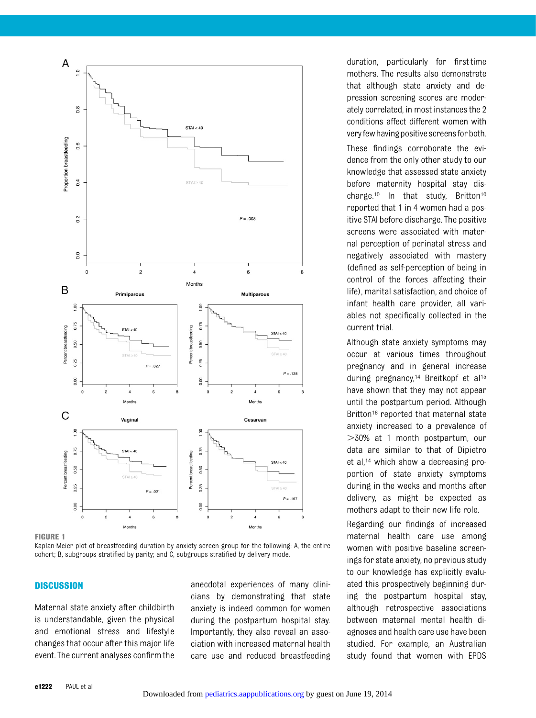

FIGURE 1

Kaplan-Meier plot of breastfeeding duration by anxiety screen group for the following: A, the entire cohort; B, subgroups stratified by parity; and C, subgroups stratified by delivery mode.

## **DISCUSSION**

Maternal state anxiety after childbirth is understandable, given the physical and emotional stress and lifestyle changes that occur after this major life event. The current analyses confirm the anecdotal experiences of many clinicians by demonstrating that state anxiety is indeed common for women during the postpartum hospital stay. Importantly, they also reveal an association with increased maternal health care use and reduced breastfeeding duration, particularly for first-time mothers. The results also demonstrate that although state anxiety and depression screening scores are moderately correlated, in most instances the 2 conditions affect different women with very few having positive screens for both.

These findings corroborate the evidence from the only other study to our knowledge that assessed state anxiety before maternity hospital stay discharge.10 In that study, Britton10 reported that 1 in 4 women had a positive STAI before discharge. The positive screens were associated with maternal perception of perinatal stress and negatively associated with mastery (defined as self-perception of being in control of the forces affecting their life), marital satisfaction, and choice of infant health care provider, all variables not specifically collected in the current trial.

Although state anxiety symptoms may occur at various times throughout pregnancy and in general increase during pregnancy,14 Breitkopf et al15 have shown that they may not appear until the postpartum period. Although Britton<sup>16</sup> reported that maternal state anxiety increased to a prevalence of  $>30\%$  at 1 month postpartum, our data are similar to that of Dipietro et al,14 which show a decreasing proportion of state anxiety symptoms during in the weeks and months after delivery, as might be expected as mothers adapt to their new life role.

Regarding our findings of increased maternal health care use among women with positive baseline screenings for state anxiety, no previous study to our knowledge has explicitly evaluated this prospectively beginning during the postpartum hospital stay, although retrospective associations between maternal mental health diagnoses and health care use have been studied. For example, an Australian study found that women with EPDS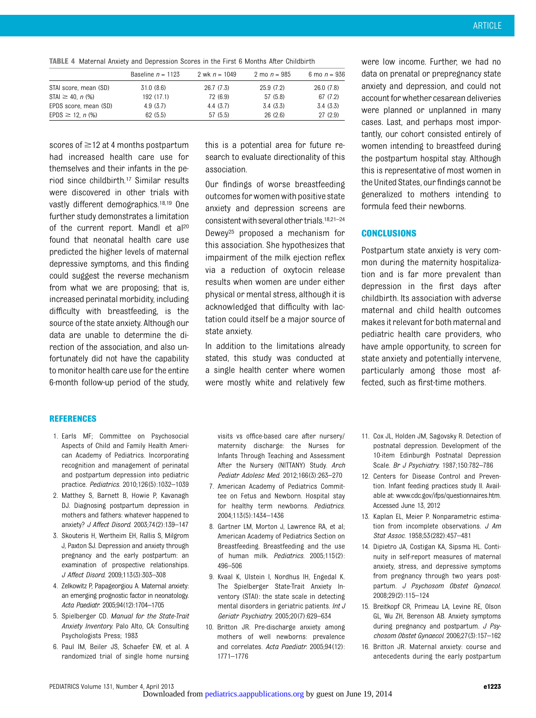|  |  |  |  | <b>TABLE 4</b> Maternal Anxiety and Depression Scores in the First 6 Months After Childbirth |  |  |  |  |  |  |  |  |  |
|--|--|--|--|----------------------------------------------------------------------------------------------|--|--|--|--|--|--|--|--|--|
|--|--|--|--|----------------------------------------------------------------------------------------------|--|--|--|--|--|--|--|--|--|

|                                 | Baseline $n = 1123$ | 2 wk $n = 1049$ | 2 mo $n = 985$ | 6 mo $n = 936$ |
|---------------------------------|---------------------|-----------------|----------------|----------------|
| STAI score, mean (SD)           | 31.0(8.6)           | 26.7(7.3)       | 25.9 (7.2)     | 26.0(7.8)      |
| $STAI \ge 40$ , n (%)           | 192 (17.1)          | 72 (6.9)        | 57 (5.8)       | 67 (7.2)       |
| EPDS score, mean (SD)           | 4.9(3.7)            | 4.4(3.7)        | 3.4(3.3)       | 3.4(3.3)       |
| $EPDS \ge 12$ , n $\frac{9}{6}$ | 62(5.5)             | 57 (5.5)        | 26(2.6)        | 27(2.9)        |

scores of  $\geq$  12 at 4 months postpartum had increased health care use for themselves and their infants in the period since childbirth.17 Similar results were discovered in other trials with vastly different demographics.18,19 One further study demonstrates a limitation of the current report. Mandl et al<sup>20</sup> found that neonatal health care use predicted the higher levels of maternal depressive symptoms, and this finding could suggest the reverse mechanism from what we are proposing; that is, increased perinatal morbidity, including difficulty with breastfeeding, is the source of the state anxiety. Although our data are unable to determine the direction of the association, and also unfortunately did not have the capability to monitor health care use for the entire 6-month follow-up period of the study,

this is a potential area for future research to evaluate directionality of this association.

Our findings of worse breastfeeding outcomes for women with positive state anxiety and depression screens are consistent with several other trials.<sup>18,21-24</sup> Dewey25 proposed a mechanism for this association. She hypothesizes that impairment of the milk ejection reflex via a reduction of oxytocin release results when women are under either physical or mental stress, although it is acknowledged that difficulty with lactation could itself be a major source of state anxiety.

In addition to the limitations already stated, this study was conducted at a single health center where women were mostly white and relatively few were low income. Further, we had no data on prenatal or prepregnancy state anxiety and depression, and could not account forwhether cesarean deliveries were planned or unplanned in many cases. Last, and perhaps most importantly, our cohort consisted entirely of women intending to breastfeed during the postpartum hospital stay. Although this is representative of most women in the United States, our findings cannot be generalized to mothers intending to formula feed their newborns.

### **CONCLUSIONS**

Postpartum state anxiety is very common during the maternity hospitalization and is far more prevalent than depression in the first days after childbirth. Its association with adverse maternal and child health outcomes makes it relevant for both maternal and pediatric health care providers, who have ample opportunity, to screen for state anxiety and potentially intervene, particularly among those most affected, such as first-time mothers.

#### REFERENCES

- 1. Earls MF; Committee on Psychosocial Aspects of Child and Family Health American Academy of Pediatrics. Incorporating recognition and management of perinatal and postpartum depression into pediatric practice. Pediatrics. 2010;126(5):1032–1039
- 2. Matthey S, Barnett B, Howie P, Kavanagh DJ. Diagnosing postpartum depression in mothers and fathers: whatever happened to anxiety? J Affect Disord. 2003;74(2):139–147
- 3. Skouteris H, Wertheim EH, Rallis S, Milgrom J, Paxton SJ. Depression and anxiety through pregnancy and the early postpartum: an examination of prospective relationships. J Affect Disord. 2009;113(3):303–308
- 4. Zelkowitz P, Papageorgiou A. Maternal anxiety: an emerging prognostic factor in neonatology. Acta Paediatr. 2005;94(12):1704–1705
- 5. Spielberger CD. Manual for the State-Trait Anxiety Inventory. Palo Alto, CA: Consulting Psychologists Press; 1983
- 6. Paul IM, Beiler JS, Schaefer EW, et al. A randomized trial of single home nursing

visits vs office-based care after nursery/ maternity discharge: the Nurses for Infants Through Teaching and Assessment After the Nursery (NITTANY) Study. Arch Pediatr Adolesc Med. 2012;166(3):263–270

- 7. American Academy of Pediatrics Committee on Fetus and Newborn. Hospital stay for healthy term newborns. Pediatrics. 2004;113(5):1434–1436
- 8. Gartner LM, Morton J, Lawrence RA, et al; American Academy of Pediatrics Section on Breastfeeding. Breastfeeding and the use of human milk. Pediatrics. 2005;115(2): 496–506
- 9. Kvaal K, Ulstein I, Nordhus IH, Engedal K. The Spielberger State-Trait Anxiety Inventory (STAI): the state scale in detecting mental disorders in geriatric patients. Int J Geriatr Psychiatry. 2005;20(7):629–634
- 10. Britton JR. Pre-discharge anxiety among mothers of well newborns: prevalence and correlates. Acta Paediatr. 2005;94(12): 1771–1776
- 11. Cox JL, Holden JM, Sagovsky R. Detection of postnatal depression. Development of the 10-item Edinburgh Postnatal Depression Scale. Br J Psychiatry. 1987;150:782–786
- 12. Centers for Disease Control and Prevention. Infant feeding practices study II. Available at: [www.cdc.gov/ifps/questionnaires.htm.](http://www.cdc.gov/ifps/questionnaires.htm.) Accessed June 13, 2012
- 13. Kaplan EL, Meier P. Nonparametric estimation from incomplete observations. J Am Stat Assoc. 1958;53(282):457–481
- 14. Dipietro JA, Costigan KA, Sipsma HL. Continuity in self-report measures of maternal anxiety, stress, and depressive symptoms from pregnancy through two years postpartum. J Psychosom Obstet Gynaecol. 2008;29(2):115–124
- 15. Breitkopf CR, Primeau LA, Levine RE, Olson GL, Wu ZH, Berenson AB. Anxiety symptoms during pregnancy and postpartum. J Psychosom Obstet Gynaecol. 2006;27(3):157–162
- 16. Britton JR. Maternal anxiety: course and antecedents during the early postpartum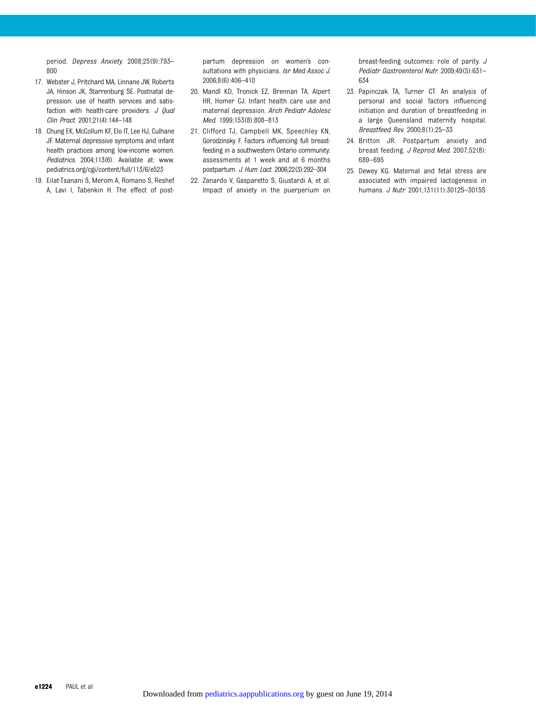period. Depress Anxiety. 2008;25(9):793– 800

- 17. Webster J, Pritchard MA, Linnane JW, Roberts JA, Hinson JK, Starrenburg SE. Postnatal depression: use of health services and satisfaction with health-care providers.  $J$  Oual Clin Pract. 2001;21(4):144–148
- 18. Chung EK, McCollum KF, Elo IT, Lee HJ, Culhane JF. Maternal depressive symptoms and infant health practices among low-income women. Pediatrics. 2004;113(6). Available at: www. pediatrics.org/cgi/content/full/113/6/e523
- 19. Eilat-Tsanani S, Merom A, Romano S, Reshef A, Lavi I, Tabenkin H. The effect of post-

partum depression on women's consultations with physicians. Isr Med Assoc J. 2006;8(6):406–410

- 20. Mandl KD, Tronick EZ, Brennan TA, Alpert HR, Homer CJ. Infant health care use and maternal depression. Arch Pediatr Adolesc Med. 1999;153(8):808–813
- 21. Clifford TJ, Campbell MK, Speechley KN, Gorodzinsky F. Factors influencing full breastfeeding in a southwestern Ontario community: assessments at 1 week and at 6 months postpartum. J Hum Lact. 2006;22(3):292–304
- 22. Zanardo V, Gasparetto S, Giustardi A, et al. Impact of anxiety in the puerperium on

breast-feeding outcomes: role of parity. J Pediatr Gastroenterol Nutr. 2009;49(5):631– 634

- 23. Papinczak TA, Turner CT. An analysis of personal and social factors influencing initiation and duration of breastfeeding in a large Queensland maternity hospital. Breastfeed Rev. 2000;8(1):25–33
- 24. Britton JR. Postpartum anxiety and breast feeding. J Reprod Med. 2007;52(8): 689–695
- 25. Dewey KG. Maternal and fetal stress are associated with impaired lactogenesis in humans. J Nutr. 2001;131(11):3012S–3015S